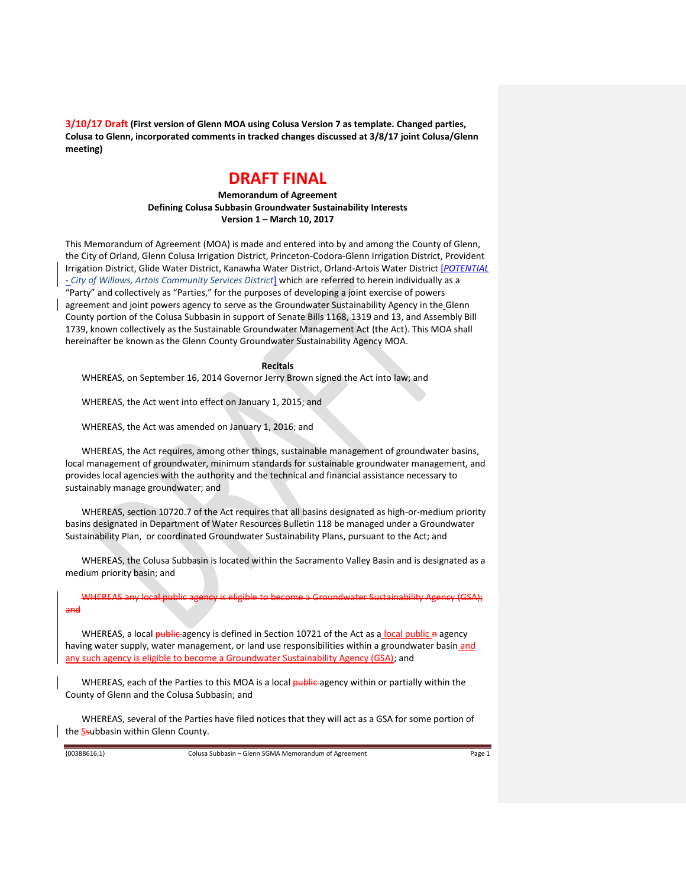# **DRAFT FINAL**

**Memorandum of Agreement Defining Colusa Subbasin Groundwater Sustainability Interests Version 1 – March 10, 2017**

This Memorandum of Agreement (MOA) is made and entered into by and among the County of Glenn, the City of Orland, Glenn Colusa Irrigation District, Princeton-Codora-Glenn Irrigation District, Provident Irrigation District, Glide Water District, Kanawha Water District, Orland-Artois Water District [*POTENTIAL - City of Willows, Artois Community Services District*] which are referred to herein individually as a "Party" and collectively as "Parties," for the purposes of developing a joint exercise of powers agreement and joint powers agency to serve as the Groundwater Sustainability Agency in the Glenn County portion of the Colusa Subbasin in support of Senate Bills 1168, 1319 and 13, and Assembly Bill 1739, known collectively as the Sustainable Groundwater Management Act (the Act). This MOA shall hereinafter be known as the Glenn County Groundwater Sustainability Agency MOA.

#### **Recitals**

WHEREAS, on September 16, 2014 Governor Jerry Brown signed the Act into law; and

WHEREAS, the Act went into effect on January 1, 2015; and

WHEREAS, the Act was amended on January 1, 2016; and

WHEREAS, the Act requires, among other things, sustainable management of groundwater basins, local management of groundwater, minimum standards for sustainable groundwater management, and provides local agencies with the authority and the technical and financial assistance necessary to sustainably manage groundwater; and

WHEREAS, section 10720.7 of the Act requires that all basins designated as high-or-medium priority basins designated in Department of Water Resources Bulletin 118 be managed under a Groundwater Sustainability Plan, or coordinated Groundwater Sustainability Plans, pursuant to the Act; and

WHEREAS, the Colusa Subbasin is located within the Sacramento Valley Basin and is designated as a medium priority basin; and

WHEREAS any local public agency is eligible to become a Groundwater Sustainability Agency (GSA); and

WHEREAS, a local public agency is defined in Section 10721 of the Act as a local public a agency having water supply, water management, or land use responsibilities within a groundwater basin and any such agency is eligible to become a Groundwater Sustainability Agency (GSA); and

WHEREAS, each of the Parties to this MOA is a local public agency within or partially within the County of Glenn and the Colusa Subbasin; and

WHEREAS, several of the Parties have filed notices that they will act as a GSA for some portion of the Ssubbasin within Glenn County.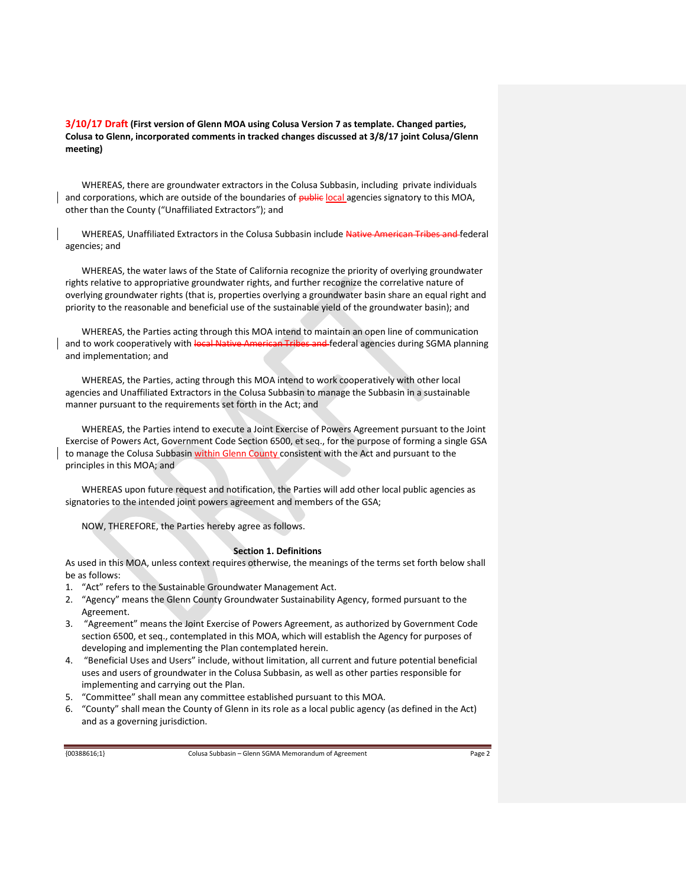WHEREAS, there are groundwater extractors in the Colusa Subbasin, including private individuals and corporations, which are outside of the boundaries of public local agencies signatory to this MOA, other than the County ("Unaffiliated Extractors"); and

WHEREAS, Unaffiliated Extractors in the Colusa Subbasin include Native American Tribes and federal agencies; and

WHEREAS, the water laws of the State of California recognize the priority of overlying groundwater rights relative to appropriative groundwater rights, and further recognize the correlative nature of overlying groundwater rights (that is, properties overlying a groundwater basin share an equal right and priority to the reasonable and beneficial use of the sustainable yield of the groundwater basin); and

WHEREAS, the Parties acting through this MOA intend to maintain an open line of communication and to work cooperatively with local Native American Tribes and federal agencies during SGMA planning and implementation; and

WHEREAS, the Parties, acting through this MOA intend to work cooperatively with other local agencies and Unaffiliated Extractors in the Colusa Subbasin to manage the Subbasin in a sustainable manner pursuant to the requirements set forth in the Act; and

WHEREAS, the Parties intend to execute a Joint Exercise of Powers Agreement pursuant to the Joint Exercise of Powers Act, Government Code Section 6500, et seq., for the purpose of forming a single GSA to manage the Colusa Subbasin within Glenn County consistent with the Act and pursuant to the principles in this MOA; and

WHEREAS upon future request and notification, the Parties will add other local public agencies as signatories to the intended joint powers agreement and members of the GSA;

NOW, THEREFORE, the Parties hereby agree as follows.

### **Section 1. Definitions**

As used in this MOA, unless context requires otherwise, the meanings of the terms set forth below shall be as follows:

- 1. "Act" refers to the Sustainable Groundwater Management Act.
- 2. "Agency" means the Glenn County Groundwater Sustainability Agency, formed pursuant to the Agreement.
- 3. "Agreement" means the Joint Exercise of Powers Agreement, as authorized by Government Code section 6500, et seq., contemplated in this MOA, which will establish the Agency for purposes of developing and implementing the Plan contemplated herein.
- 4. "Beneficial Uses and Users" include, without limitation, all current and future potential beneficial uses and users of groundwater in the Colusa Subbasin, as well as other parties responsible for implementing and carrying out the Plan.
- 5. "Committee" shall mean any committee established pursuant to this MOA.
- 6. "County" shall mean the County of Glenn in its role as a local public agency (as defined in the Act) and as a governing jurisdiction.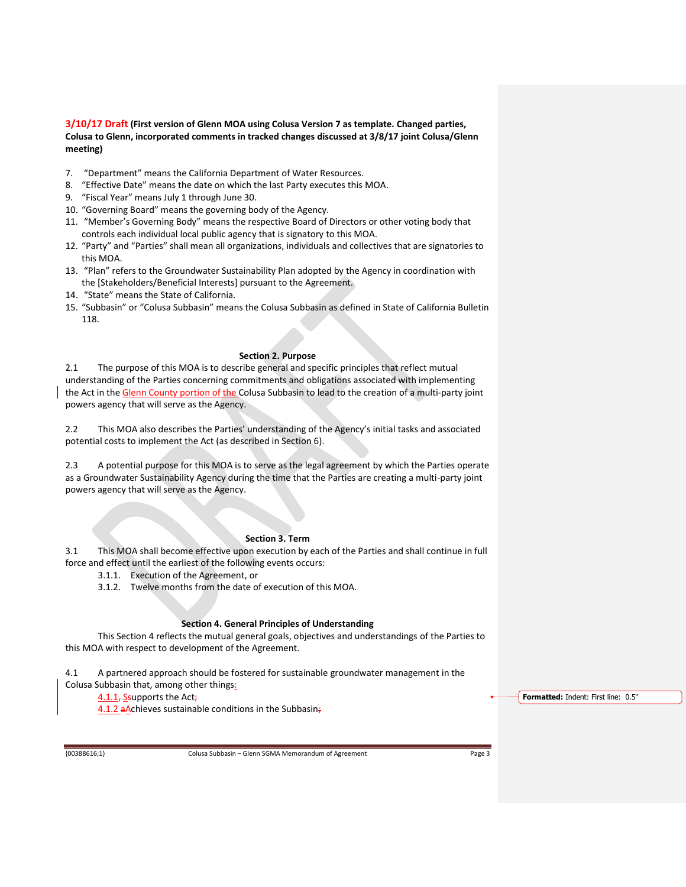- 7. "Department" means the California Department of Water Resources.
- 8. "Effective Date" means the date on which the last Party executes this MOA.
- 9. "Fiscal Year" means July 1 through June 30.
- 10. "Governing Board" means the governing body of the Agency.
- 11. "Member's Governing Body" means the respective Board of Directors or other voting body that controls each individual local public agency that is signatory to this MOA.
- 12. "Party" and "Parties" shall mean all organizations, individuals and collectives that are signatories to this MOA.
- 13. "Plan" refers to the Groundwater Sustainability Plan adopted by the Agency in coordination with the [Stakeholders/Beneficial Interests] pursuant to the Agreement.
- 14. "State" means the State of California.
- 15. "Subbasin" or "Colusa Subbasin" means the Colusa Subbasin as defined in State of California Bulletin 118.

## **Section 2. Purpose**

2.1 The purpose of this MOA is to describe general and specific principles that reflect mutual understanding of the Parties concerning commitments and obligations associated with implementing the Act in the Glenn County portion of the Colusa Subbasin to lead to the creation of a multi-party joint powers agency that will serve as the Agency.

2.2 This MOA also describes the Parties' understanding of the Agency's initial tasks and associated potential costs to implement the Act (as described in Section 6).

2.3 A potential purpose for this MOA is to serve as the legal agreement by which the Parties operate as a Groundwater Sustainability Agency during the time that the Parties are creating a multi-party joint powers agency that will serve as the Agency.

#### **Section 3. Term**

3.1 This MOA shall become effective upon execution by each of the Parties and shall continue in full force and effect until the earliest of the following events occurs:

- 3.1.1. Execution of the Agreement, or
- 3.1.2. Twelve months from the date of execution of this MOA.

## **Section 4. General Principles of Understanding**

This Section 4 reflects the mutual general goals, objectives and understandings of the Parties to this MOA with respect to development of the Agreement.

4.1 A partnered approach should be fostered for sustainable groundwater management in the Colusa Subbasin that, among other things:

4.1.1, Ssupports the Act;

4.1.2 aAchieves sustainable conditions in the Subbasin;

**Formatted:** Indent: First line: 0.5"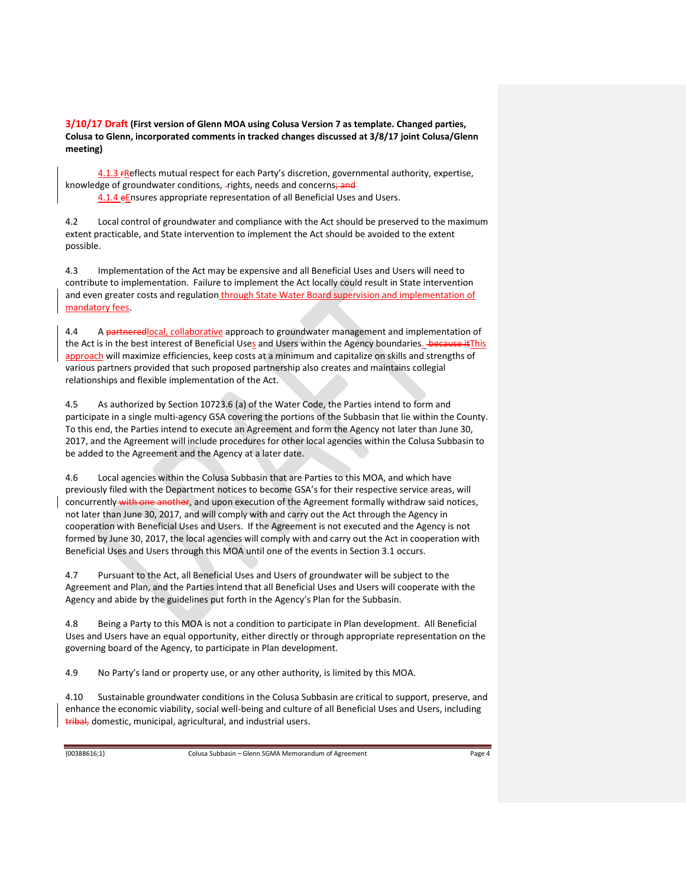4.1.3 FReflects mutual respect for each Party's discretion, governmental authority, expertise, knowledge of groundwater conditions, -rights, needs and concerns; and

4.1.4 eEnsures appropriate representation of all Beneficial Uses and Users.

4.2 Local control of groundwater and compliance with the Act should be preserved to the maximum extent practicable, and State intervention to implement the Act should be avoided to the extent possible.

4.3 Implementation of the Act may be expensive and all Beneficial Uses and Users will need to contribute to implementation. Failure to implement the Act locally could result in State intervention and even greater costs and regulation through State Water Board supervision and implementation of mandatory fees.

4.4 A partneredlocal, collaborative approach to groundwater management and implementation of the Act is in the best interest of Beneficial Uses and Users within the Agency boundaries. - because it This approach will maximize efficiencies, keep costs at a minimum and capitalize on skills and strengths of various partners provided that such proposed partnership also creates and maintains collegial relationships and flexible implementation of the Act.

4.5 As authorized by Section 10723.6 (a) of the Water Code, the Parties intend to form and participate in a single multi-agency GSA covering the portions of the Subbasin that lie within the County. To this end, the Parties intend to execute an Agreement and form the Agency not later than June 30, 2017, and the Agreement will include procedures for other local agencies within the Colusa Subbasin to be added to the Agreement and the Agency at a later date.

4.6 Local agencies within the Colusa Subbasin that are Parties to this MOA, and which have previously filed with the Department notices to become GSA's for their respective service areas, will concurrently with one another, and upon execution of the Agreement formally withdraw said notices, not later than June 30, 2017, and will comply with and carry out the Act through the Agency in cooperation with Beneficial Uses and Users. If the Agreement is not executed and the Agency is not formed by June 30, 2017, the local agencies will comply with and carry out the Act in cooperation with Beneficial Uses and Users through this MOA until one of the events in Section 3.1 occurs.

4.7 Pursuant to the Act, all Beneficial Uses and Users of groundwater will be subject to the Agreement and Plan, and the Parties intend that all Beneficial Uses and Users will cooperate with the Agency and abide by the guidelines put forth in the Agency's Plan for the Subbasin.

4.8 Being a Party to this MOA is not a condition to participate in Plan development. All Beneficial Uses and Users have an equal opportunity, either directly or through appropriate representation on the governing board of the Agency, to participate in Plan development.

4.9 No Party's land or property use, or any other authority, is limited by this MOA.

4.10 Sustainable groundwater conditions in the Colusa Subbasin are critical to support, preserve, and enhance the economic viability, social well-being and culture of all Beneficial Uses and Users, including tribal, domestic, municipal, agricultural, and industrial users.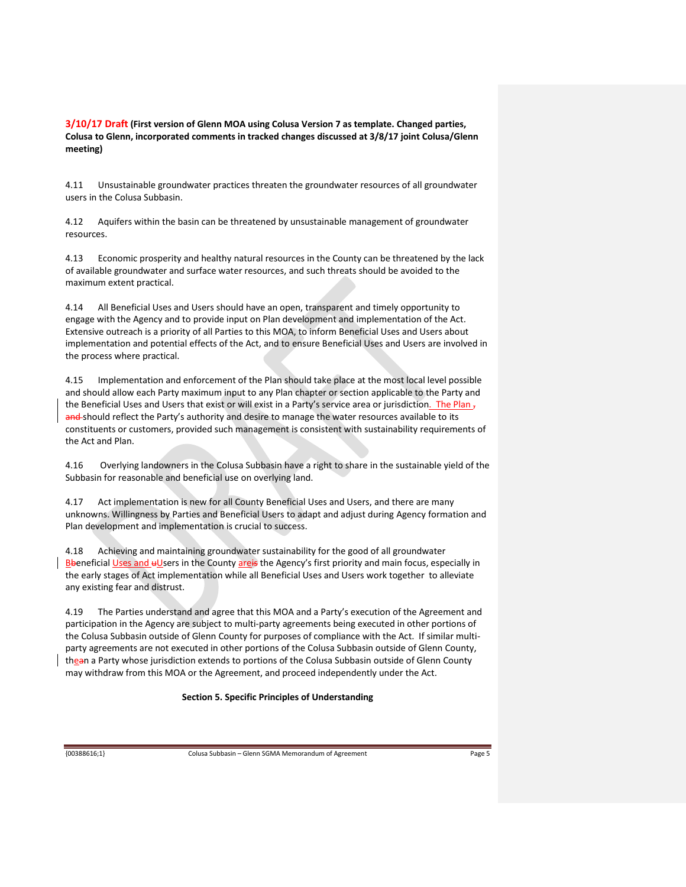4.11 Unsustainable groundwater practices threaten the groundwater resources of all groundwater users in the Colusa Subbasin.

4.12 Aquifers within the basin can be threatened by unsustainable management of groundwater resources.

4.13 Economic prosperity and healthy natural resources in the County can be threatened by the lack of available groundwater and surface water resources, and such threats should be avoided to the maximum extent practical.

4.14 All Beneficial Uses and Users should have an open, transparent and timely opportunity to engage with the Agency and to provide input on Plan development and implementation of the Act. Extensive outreach is a priority of all Parties to this MOA, to inform Beneficial Uses and Users about implementation and potential effects of the Act, and to ensure Beneficial Uses and Users are involved in the process where practical.

4.15 Implementation and enforcement of the Plan should take place at the most local level possible and should allow each Party maximum input to any Plan chapter or section applicable to the Party and the Beneficial Uses and Users that exist or will exist in a Party's service area or jurisdiction. The Plan  $<sub>7</sub>$ </sub> and should reflect the Party's authority and desire to manage the water resources available to its constituents or customers, provided such management is consistent with sustainability requirements of the Act and Plan.

4.16 Overlying landowners in the Colusa Subbasin have a right to share in the sustainable yield of the Subbasin for reasonable and beneficial use on overlying land.

4.17 Act implementation is new for all County Beneficial Uses and Users, and there are many unknowns. Willingness by Parties and Beneficial Users to adapt and adjust during Agency formation and Plan development and implementation is crucial to success.

4.18 Achieving and maintaining groundwater sustainability for the good of all groundwater Bbeneficial Uses and uUsers in the County areis the Agency's first priority and main focus, especially in the early stages of Act implementation while all Beneficial Uses and Users work together to alleviate any existing fear and distrust.

4.19 The Parties understand and agree that this MOA and a Party's execution of the Agreement and participation in the Agency are subject to multi-party agreements being executed in other portions of the Colusa Subbasin outside of Glenn County for purposes of compliance with the Act. If similar multiparty agreements are not executed in other portions of the Colusa Subbasin outside of Glenn County, thean a Party whose jurisdiction extends to portions of the Colusa Subbasin outside of Glenn County may withdraw from this MOA or the Agreement, and proceed independently under the Act.

## **Section 5. Specific Principles of Understanding**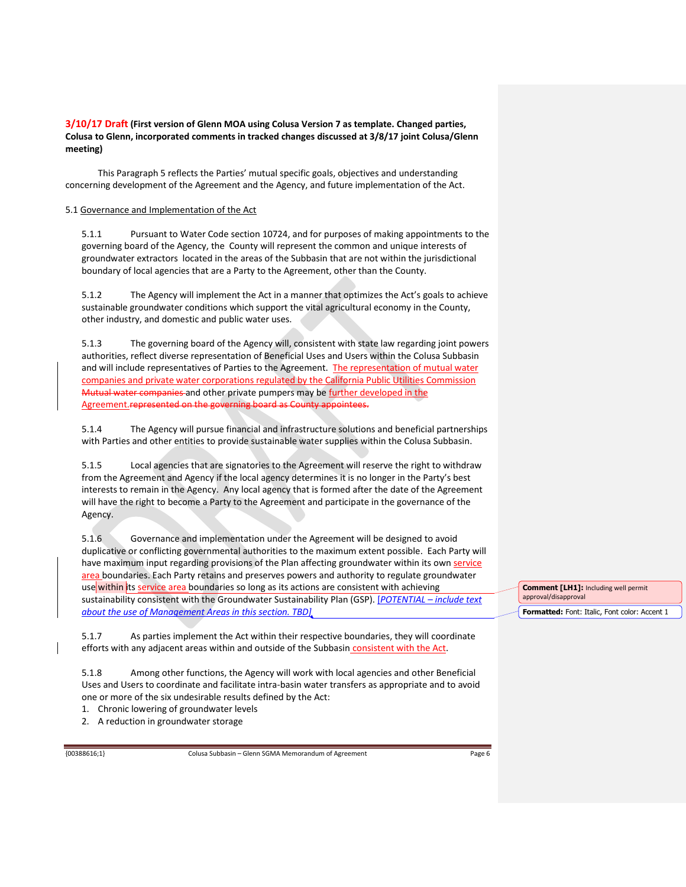This Paragraph 5 reflects the Parties' mutual specific goals, objectives and understanding concerning development of the Agreement and the Agency, and future implementation of the Act.

# 5.1 Governance and Implementation of the Act

5.1.1 Pursuant to Water Code section 10724, and for purposes of making appointments to the governing board of the Agency, the County will represent the common and unique interests of groundwater extractors located in the areas of the Subbasin that are not within the jurisdictional boundary of local agencies that are a Party to the Agreement, other than the County.

5.1.2 The Agency will implement the Act in a manner that optimizes the Act's goals to achieve sustainable groundwater conditions which support the vital agricultural economy in the County, other industry, and domestic and public water uses.

5.1.3 The governing board of the Agency will, consistent with state law regarding joint powers authorities, reflect diverse representation of Beneficial Uses and Users within the Colusa Subbasin and will include representatives of Parties to the Agreement. The representation of mutual water companies and private water corporations regulated by the California Public Utilities Commission Mutual water companies and other private pumpers may be further developed in the Agreement.represented on the governing board as County appointees.

5.1.4 The Agency will pursue financial and infrastructure solutions and beneficial partnerships with Parties and other entities to provide sustainable water supplies within the Colusa Subbasin.

5.1.5 Local agencies that are signatories to the Agreement will reserve the right to withdraw from the Agreement and Agency if the local agency determines it is no longer in the Party's best interests to remain in the Agency. Any local agency that is formed after the date of the Agreement will have the right to become a Party to the Agreement and participate in the governance of the Agency.

5.1.6 Governance and implementation under the Agreement will be designed to avoid duplicative or conflicting governmental authorities to the maximum extent possible. Each Party will have maximum input regarding provisions of the Plan affecting groundwater within its own service area boundaries. Each Party retains and preserves powers and authority to regulate groundwater use within its service area boundaries so long as its actions are consistent with achieving sustainability consistent with the Groundwater Sustainability Plan (GSP). [*POTENTIAL – include text about the use of Management Areas in this section. TBD]*

5.1.7 As parties implement the Act within their respective boundaries, they will coordinate efforts with any adjacent areas within and outside of the Subbasin consistent with the Act.

5.1.8 Among other functions, the Agency will work with local agencies and other Beneficial Uses and Users to coordinate and facilitate intra-basin water transfers as appropriate and to avoid one or more of the six undesirable results defined by the Act:

1. Chronic lowering of groundwater levels

2. A reduction in groundwater storage

{00388616;1} Colusa Subbasin – Glenn SGMA Memorandum of Agreement Page 6

**Comment [LH1]:** Including well permit approval/disapproval **Formatted:** Font: Italic, Font color: Accent 1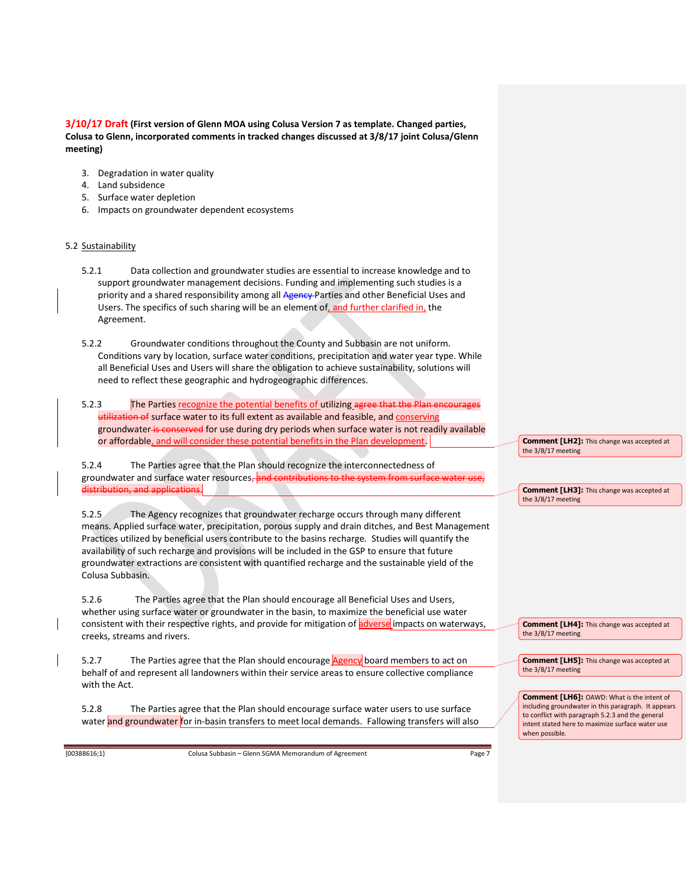- 3. Degradation in water quality
- 4. Land subsidence
- 5. Surface water depletion
- 6. Impacts on groundwater dependent ecosystems

# 5.2 Sustainability

- 5.2.1 Data collection and groundwater studies are essential to increase knowledge and to support groundwater management decisions. Funding and implementing such studies is a priority and a shared responsibility among all Agency-Parties and other Beneficial Uses and Users. The specifics of such sharing will be an element of, and further clarified in, the Agreement.
- 5.2.2 Groundwater conditions throughout the County and Subbasin are not uniform. Conditions vary by location, surface water conditions, precipitation and water year type. While all Beneficial Uses and Users will share the obligation to achieve sustainability, solutions will need to reflect these geographic and hydrogeographic differences.
- 5.2.3 The Parties recognize the potential benefits of utilizing agree that the of surface water to its full extent as available and feasible, and conserving groundwater is conserved for use during dry periods when surface water is not readily available or affordable, and will consider these potential benefits in the Plan development.

5.2.4 The Parties agree that the Plan should recognize the interconnectedness of groundwater and surface water resources, and contributions to the system from distribution, and applications.

5.2.5 The Agency recognizes that groundwater recharge occurs through many different means. Applied surface water, precipitation, porous supply and drain ditches, and Best Management Practices utilized by beneficial users contribute to the basins recharge. Studies will quantify the availability of such recharge and provisions will be included in the GSP to ensure that future groundwater extractions are consistent with quantified recharge and the sustainable yield of the Colusa Subbasin.

5.2.6 The Parties agree that the Plan should encourage all Beneficial Uses and Users, whether using surface water or groundwater in the basin, to maximize the beneficial use water consistent with their respective rights, and provide for mitigation of adverse impacts on waterways, creeks, streams and rivers.

5.2.7 The Parties agree that the Plan should encourage Agency board members to act on behalf of and represent all landowners within their service areas to ensure collective compliance with the Act.

5.2.8 The Parties agree that the Plan should encourage surface water users to use surface water and groundwater for in-basin transfers to meet local demands. Fallowing transfers will also

{00388616;1} Colusa Subbasin – Glenn SGMA Memorandum of Agreement Page 7

**Comment [LH2]:** This change was accepted at the 3/8/17 meeting

**Comment [LH3]:** This change was accepted at the 3/8/17 meeting

**Comment [LH4]:** This change was accepted at the 3/8/17 meeting

**Comment [LH5]:** This change was accepted at the 3/8/17 meeting

**Comment [LH6]:** OAWD: What is the intent of including groundwater in this paragraph. It appears to conflict with paragraph 5.2.3 and the general intent stated here to maximize surface water use when possible.